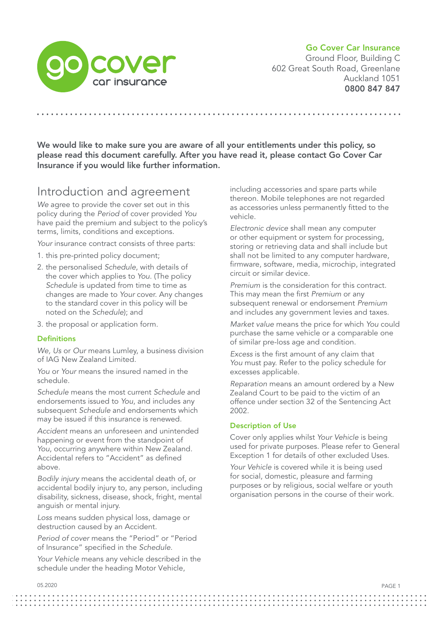## Go Cover Car Insurance



Ground Floor, Building C 602 Great South Road, Greenlane Auckland 1051 0800 847 847

We would like to make sure you are aware of all your entitlements under this policy, so please read this document carefully. After you have read it, please contact Go Cover Car Insurance if you would like further information.

## Introduction and agreement

*We* agree to provide the cover set out in this policy during the *Period* of cover provided *You* have paid the premium and subject to the policy's terms, limits, conditions and exceptions.

Your insurance contract consists of three parts:

- 1. this pre-printed policy document;
- 2. the personalised *Schedule*, with details of the cover which applies to *You*. (The policy *Schedule* is updated from time to time as changes are made to *Your* cover. Any changes to the standard cover in this policy will be noted on the *Schedule*); and
- 3. the proposal or application form.

## **Definitions**

*We, Us* or *Our* means Lumley, a business division of IAG New Zealand Limited.

*You* or *Your* means the insured named in the schedule.

*Schedule* means the most current *Schedule* and endorsements issued to *You*, and includes any subsequent *Schedule* and endorsements which may be issued if this insurance is renewed.

*Accident* means an unforeseen and unintended happening or event from the standpoint of *You*, occurring anywhere within New Zealand. Accidental refers to "Accident" as defined above.

*Bodily injury* means the accidental death of, or accidental bodily injury to, any person, including disability, sickness, disease, shock, fright, mental anguish or mental injury.

*Loss* means sudden physical loss, damage or destruction caused by an Accident.

*Period of cover* means the "Period" or "Period of Insurance" specified in the *Schedule*.

*Your Vehicle* means any vehicle described in the schedule under the heading Motor Vehicle,

including accessories and spare parts while thereon. Mobile telephones are not regarded as accessories unless permanently fitted to the vehicle.

*Electronic device* shall mean any computer or other equipment or system for processing, storing or retrieving data and shall include but shall not be limited to any computer hardware, firmware, software, media, microchip, integrated circuit or similar device.

*Premium* is the consideration for this contract. This may mean the first *Premium* or any subsequent renewal or endorsement *Premium*  and includes any government levies and taxes.

*Market value* means the price for which *You* could purchase the same vehicle or a comparable one of similar pre-loss age and condition.

*Excess* is the first amount of any claim that *You* must pay. Refer to the policy schedule for excesses applicable.

*Reparation* means an amount ordered by a New Zealand Court to be paid to the victim of an offence under section 32 of the Sentencing Act 2002.

## Description of Use

Cover only applies whilst *Your Vehicle* is being used for private purposes. Please refer to General Exception 1 for details of other excluded Uses.

Your Vehicle is covered while it is being used for social, domestic, pleasure and farming purposes or by religious, social welfare or youth organisation persons in the course of their work.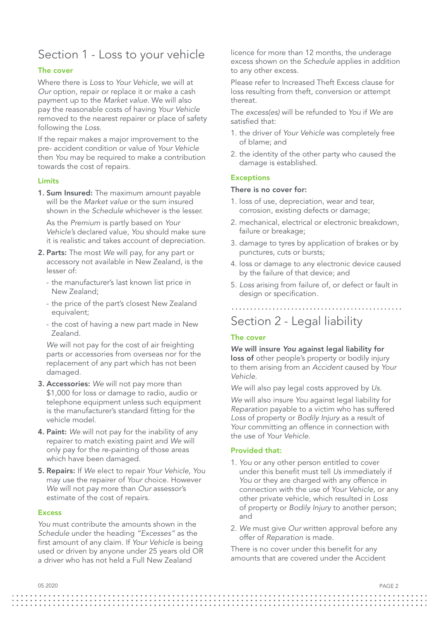## Section 1 - Loss to your vehicle

## The cover

Where there is *Loss* to *Your Vehicle*, we will at *Our* option, repair or replace it or make a cash payment up to the *Market value*. We will also pay the reasonable costs of having *Your Vehicle*  removed to the nearest repairer or place of safety following the *Loss*.

If the repair makes a major improvement to the pre- accident condition or value of *Your Vehicle*  then *You* may be required to make a contribution towards the cost of repairs.

#### Limits

1. Sum Insured: The maximum amount payable will be the *Market value* or the sum insured shown in the *Schedule* whichever is the lesser.

As the *Premium* is partly based on *Your Vehicle's* declared value, *You* should make sure it is realistic and takes account of depreciation.

- 2. Parts: The most *We* will pay, for any part or accessory not available in New Zealand, is the lesser of:
	- the manufacturer's last known list price in New Zealand;
	- the price of the part's closest New Zealand equivalent;
	- the cost of having a new part made in New Zealand.

*We* will not pay for the cost of air freighting parts or accessories from overseas nor for the replacement of any part which has not been damaged.

- 3. Accessories: *We* will not pay more than \$1,000 for loss or damage to radio, audio or telephone equipment unless such equipment is the manufacturer's standard fitting for the vehicle model.
- 4. Paint: *We* will not pay for the inability of any repairer to match existing paint and *We* will only pay for the re-painting of those areas which have been damaged.
- 5. Repairs: If *We* elect to repair *Your Vehicle*, *You* may use the repairer of *Your* choice. However *We* will not pay more than *Our* assessor's estimate of the cost of repairs.

#### **Excess**

*You* must contribute the amounts shown in the *Schedule* under the heading *"Excesses"* as the first amount of any claim. If *Your Vehicle* is being used or driven by anyone under 25 years old OR a driver who has not held a Full New Zealand

licence for more than 12 months, the underage excess shown on the *Schedule* applies in addition to any other excess.

Please refer to Increased Theft Excess clause for loss resulting from theft, conversion or attempt thereat.

The *excess(es)* will be refunded to *You* if *We* are satisfied that:

- 1. the driver of *Your Vehicle* was completely free of blame; and
- 2. the identity of the other party who caused the damage is established.

#### **Exceptions**

#### There is no cover for:

- 1. loss of use, depreciation, wear and tear, corrosion, existing defects or damage;
- 2. mechanical, electrical or electronic breakdown, failure or breakage;
- 3. damage to tyres by application of brakes or by punctures, cuts or bursts;
- 4. loss or damage to any electronic device caused by the failure of that device; and
- 5. *Loss* arising from failure of, or defect or fault in design or specification.

Section 2 - Legal liability

### The cover

### *We* will insure *You* against legal liability for loss of other people's property or bodily injury to them arising from an *Accident* caused by *Your Vehicle*.

*We* will also pay legal costs approved by *Us*.

*We* will also insure *You* against legal liability for *Reparation* payable to a victim who has suffered *Loss* of property or *Bodily Injury* as a result of *Your* committing an offence in connection with the use of *Your Vehicle*.

## Provided that:

- 1. *You* or any other person entitled to cover under this benefit must tell *Us* immediately if You or they are charged with any offence in connection with the use of *Your Vehicle*, or any other private vehicle, which resulted in *Loss* of property or *Bodily Injury* to another person; and
- 2. *We* must give *Our* written approval before any offer of *Reparation* is made.

There is no cover under this benefit for any amounts that are covered under the Accident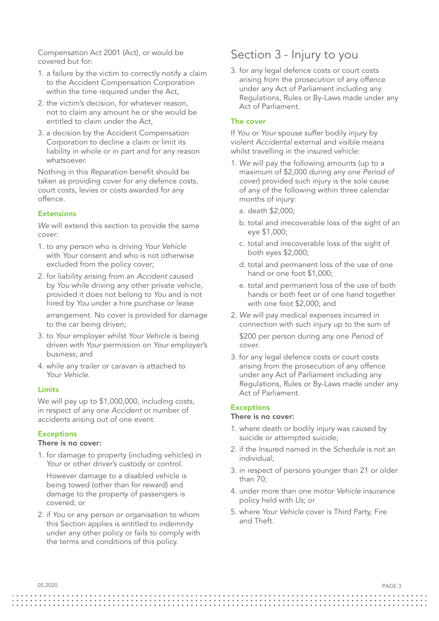Compensation Act 2001 (Act), or would be covered but for:

- 1. a failure by the victim to correctly notify a claim to the Accident Compensation Corporation within the time required under the Act,
- 2. the victim's decision, for whatever reason, not to claim any amount he or she would be entitled to claim under the Act,
- 3. a decision by the Accident Compensation Corporation to decline a claim or limit its liability in whole or in part and for any reason whatsoever.

Nothing in this *Reparation* benefit should be taken as providing cover for any defence costs, court costs, levies or costs awarded for any offence.

## **Extensions**

*We* will extend this section to provide the same cover:

- 1. to any person who is driving *Your Vehicle* with *Your* consent and who is not otherwise excluded from the policy cover;
- 2. for liability arising from an *Accident* caused by *You* while driving any other private vehicle, provided it does not belong to *You* and is not hired by *You* under a hire purchase or lease

arrangement. No cover is provided for damage to the car being driven;

- 3. to *Your* employer whilst *Your Vehicle* is being driven with *Your* permission on *Your* employer's business; and
- 4. while any trailer or caravan is attached to *Your Vehicle*.

#### Limits

We will pay up to \$1,000,000, including costs, in respect of any one *Accident* or number of accidents arising out of one event.

## **Exceptions**

## There is no cover:

1. for damage to property (including vehicles) in Your or other driver's custody or control.

However damage to a disabled vehicle is being towed (other than for reward) and damage to the property of passengers is covered; or

2. if *You* or any person or organisation to whom this Section applies is entitled to indemnity under any other policy or fails to comply with the terms and conditions of this policy.

## Section 3 - Injury to you

3. for any legal defence costs or court costs arising from the prosecution of any offence under any Act of Parliament including any Regulations, Rules or By-Laws made under any Act of Parliament.

#### The cover

If *You* or *Your* spouse suffer bodily injury by violent *Accidental* external and visible means whilst travelling in the insured vehicle:

- 1. *We* will pay the following amounts (up to a maximum of \$2,000 during any one *Period of cover*) provided such injury is the sole cause of any of the following within three calendar months of injury:
	- a. death \$2,000;
	- b. total and irrecoverable loss of the sight of an eye \$1,000;
	- c. total and irrecoverable loss of the sight of both eyes \$2,000;
	- d. total and permanent loss of the use of one hand or one foot \$1,000;
	- e. total and permanent loss of the use of both hands or both feet or of one hand together with one foot \$2,000; and
- 2. *We* will pay medical expenses incurred in connection with such injury up to the sum of \$200 per person during any one *Period of cover*.
- 3. for any legal defence costs or court costs arising from the prosecution of any offence under any Act of Parliament including any Regulations, Rules or By-Laws made under any Act of Parliament.

#### **Exceptions**

### There is no cover:

- 1. where death or bodily injury was caused by suicide or attempted suicide;
- 2. if the Insured named in the *Schedule* is not an individual;
- 3. in respect of persons younger than 21 or older than 70;
- 4. under more than one motor *Vehicle* insurance policy held with *Us*; or
- 5. where *Your Vehicle* cover is Third Party, Fire and Theft.

PAGE 3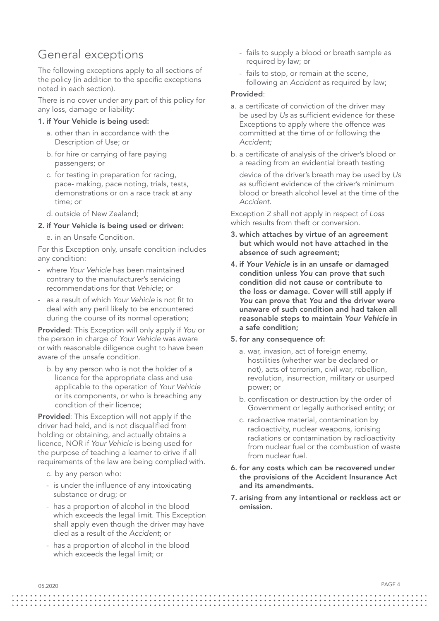# General exceptions

The following exceptions apply to all sections of the policy (in addition to the specific exceptions noted in each section).

There is no cover under any part of this policy for any loss, damage or liability:

## 1. if Your Vehicle is being used:

- a. other than in accordance with the Description of Use; or
- b. for hire or carrying of fare paying passengers; or
- c. for testing in preparation for racing, pace- making, pace noting, trials, tests, demonstrations or on a race track at any time; or
- d. outside of New Zealand;

## 2. if Your Vehicle is being used or driven:

e. in an Unsafe Condition.

For this Exception only, unsafe condition includes any condition:

- where *Your Vehicle* has been maintained contrary to the manufacturer's servicing recommendations for that *Vehicle*; or
- as a result of which *Your Vehicle* is not fit to deal with any peril likely to be encountered during the course of its normal operation;

Provided: This Exception will only apply if *You* or the person in charge of *Your Vehicle* was aware or with reasonable diligence ought to have been aware of the unsafe condition.

b. by any person who is not the holder of a licence for the appropriate class and use applicable to the operation of *Your Vehicle* or its components, or who is breaching any condition of their licence;

Provided: This Exception will not apply if the driver had held, and is not disqualified from holding or obtaining, and actually obtains a licence, NOR if *Your Vehicle* is being used for the purpose of teaching a learner to drive if all requirements of the law are being complied with.

- c. by any person who:
- is under the influence of any intoxicating substance or drug; or
- has a proportion of alcohol in the blood which exceeds the legal limit. This Exception shall apply even though the driver may have died as a result of the *Accident*; or
- has a proportion of alcohol in the blood which exceeds the legal limit; or
- fails to supply a blood or breath sample as required by law; or
- fails to stop, or remain at the scene, following an *Accident* as required by law;

## Provided:

- a. a certificate of conviction of the driver may be used by *Us* as sufficient evidence for these Exceptions to apply where the offence was committed at the time of or following the *Accident;*
- b. a certificate of analysis of the driver's blood or a reading from an evidential breath testing

device of the driver's breath may be used by *Us* as sufficient evidence of the driver's minimum blood or breath alcohol level at the time of the *Accident.*

Exception 2 shall not apply in respect of *Loss* which results from theft or conversion.

- 3. which attaches by virtue of an agreement but which would not have attached in the absence of such agreement;
- 4. if *Your Vehicle* is in an unsafe or damaged condition unless *You* can prove that such condition did not cause or contribute to the loss or damage. Cover will still apply if *You* can prove that *You* and the driver were unaware of such condition and had taken all reasonable steps to maintain *Your Vehicle* in a safe condition;

## 5. for any consequence of:

- a. war, invasion, act of foreign enemy, hostilities (whether war be declared or not), acts of terrorism, civil war, rebellion, revolution, insurrection, military or usurped power; or
- b. confiscation or destruction by the order of Government or legally authorised entity; or
- c. radioactive material, contamination by radioactivity, nuclear weapons, ionising radiations or contamination by radioactivity from nuclear fuel or the combustion of waste from nuclear fuel.
- 6. for any costs which can be recovered under the provisions of the Accident Insurance Act and its amendments.
- 7. arising from any intentional or reckless act or omission.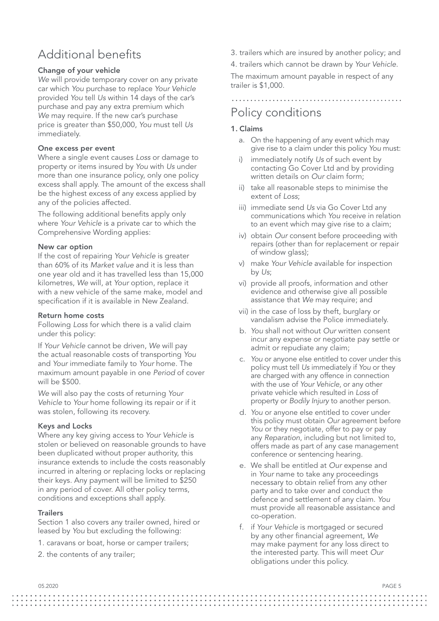# Additional benefits

## Change of your vehicle

*We* will provide temporary cover on any private car which *You* purchase to replace *Your Vehicle*  provided *You* tell *Us* within 14 days of the car's purchase and pay any extra premium which *We* may require. If the new car's purchase price is greater than \$50,000, *You* must tell *Us*  immediately.

## One excess per event

Where a single event causes *Loss* or damage to property or items insured by *You* with *Us* under more than one insurance policy, only one policy excess shall apply. The amount of the excess shall be the highest excess of any excess applied by any of the policies affected.

The following additional benefits apply only where *Your Vehicle* is a private car to which the Comprehensive Wording applies:

## New car option

If the cost of repairing *Your Vehicle* is greater than 60% of its *Market value* and it is less than one year old and it has travelled less than 15,000 kilometres, *We* will, at *Your* option, replace it with a new vehicle of the same make, model and specification if it is available in New Zealand.

## Return home costs

Following *Loss* for which there is a valid claim under this policy:

If *Your Vehicle* cannot be driven, *We* will pay the actual reasonable costs of transporting *You*  and *Your* immediate family to *Your* home. The maximum amount payable in one *Period* of cover will be \$500.

*We* will also pay the costs of returning *Your Vehicle* to *Your* home following its repair or if it was stolen, following its recovery.

## Keys and Locks

Where any key giving access to *Your Vehicle* is stolen or believed on reasonable grounds to have been duplicated without proper authority, this insurance extends to include the costs reasonably incurred in altering or replacing locks or replacing their keys. Any payment will be limited to \$250 in any period of cover. All other policy terms, conditions and exceptions shall apply.

## **Trailers**

Section 1 also covers any trailer owned, hired or leased by *You* but excluding the following:

- 1. caravans or boat, horse or camper trailers;
- 2. the contents of any trailer;
- 3. trailers which are insured by another policy; and
- 4. trailers which cannot be drawn by *Your Vehicle*.

The maximum amount payable in respect of any trailer is \$1,000.

## Policy conditions

## 1. Claims

- a. On the happening of any event which may give rise to a claim under this policy *You* must:
- immediately notify *Us* of such event by contacting Go Cover Ltd and by providing written details on *Our* claim form;
- ii) take all reasonable steps to minimise the extent of *Loss*;
- iii) immediate send *Us* via Go Cover Ltd any communications which *You* receive in relation to an event which may give rise to a claim;
- iv) obtain *Our* consent before proceeding with repairs (other than for replacement or repair of window glass);
- v) make *Your Vehicle* available for inspection by *Us*;
- vi) provide all proofs, information and other evidence and otherwise give all possible assistance that *We* may require; and
- vii) in the case of loss by theft, burglary or vandalism advise the Police immediately.
- b. *You* shall not without *Our* written consent incur any expense or negotiate pay settle or admit or repudiate any claim;
- c. *You* or anyone else entitled to cover under this policy must tell *Us* immediately if *You* or they are charged with any offence in connection with the use of *Your Vehicle*, or any other private vehicle which resulted in *Loss* of property or *Bodily Injury* to another person.
- d. *You* or anyone else entitled to cover under this policy must obtain *Our* agreement before You or they negotiate, offer to pay or pay any *Reparation*, including but not limited to, offers made as part of any case management conference or sentencing hearing.
- e. We shall be entitled at *Our* expense and in *Your* name to take any proceedings necessary to obtain relief from any other party and to take over and conduct the defence and settlement of any claim. *You* must provide all reasonable assistance and co-operation.
- f. if *Your Vehicle* is mortgaged or secured by any other financial agreement, *We* may make payment for any loss direct to the interested party. This will meet *Our* obligations under this policy.